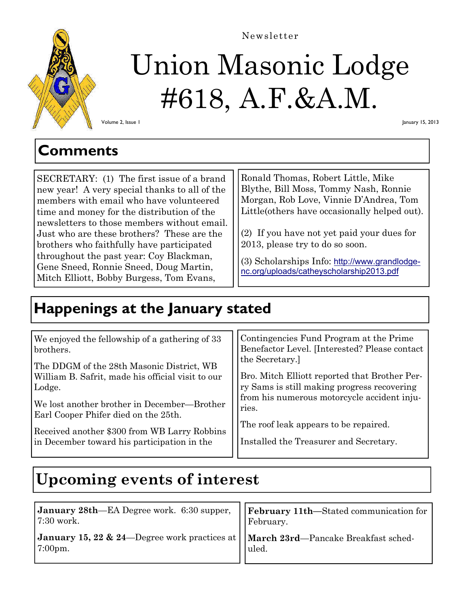

# Union Masonic Lodge #618, A.F.&A.M. Newsletter

Volume 2, Issue 1

January 15, 2013

### **Comments**

SECRETARY: (1) The first issue of a brand new year! A very special thanks to all of the members with email who have volunteered time and money for the distribution of the newsletters to those members without email. Just who are these brothers? These are the brothers who faithfully have participated throughout the past year: Coy Blackman, Gene Sneed, Ronnie Sneed, Doug Martin, Mitch Elliott, Bobby Burgess, Tom Evans,

Ronald Thomas, Robert Little, Mike Blythe, Bill Moss, Tommy Nash, Ronnie Morgan, Rob Love, Vinnie D'Andrea, Tom Little(others have occasionally helped out).

(2) If you have not yet paid your dues for 2013, please try to do so soon.

(3) Scholarships Info: http://www.grandlodgenc.org/uploads/catheyscholarship2013.pdf

### **Happenings at the January stated**

## **Upcoming events of interest**

| January 28th—EA Degree work. 6:30 supper,   February 11th—Stated communication for<br>$\vert 7:30$ work.      | February. |
|---------------------------------------------------------------------------------------------------------------|-----------|
| January 15, 22 & 24—Degree work practices at $\vert\,\vert$ March 23rd—Pancake Breakfast sched-<br>$7:00$ pm. | luled.    |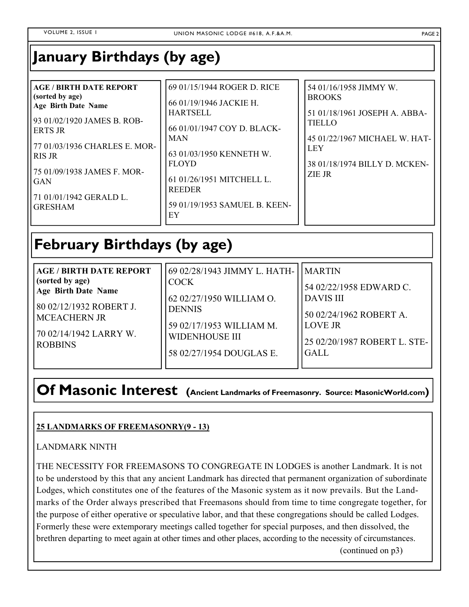**January Birthdays (by age)** 

| <b>AGE / BIRTH DATE REPORT</b><br>(sorted by age)<br><b>Age Birth Date Name</b><br>93 01/02/1920 JAMES B. ROB-<br><b>ERTS JR</b><br>77 01/03/1936 CHARLES E. MOR-<br>I RIS JR<br>75 01/09/1938 JAMES F. MOR-<br>l GAN<br>71 01/01/1942 GERALD L.<br><b>GRESHAM</b> | 69 01/15/1944 ROGER D. RICE<br>66 01/19/1946 JACKIE H.<br><b>HARTSELL</b><br>66 01/01/1947 COY D. BLACK-<br><b>MAN</b><br>63 01/03/1950 KENNETH W.<br><b>FLOYD</b><br>61 01/26/1951 MITCHELL L.<br><b>REEDER</b><br>59 01/19/1953 SAMUEL B. KEEN-<br>EY | 54 01/16/1958 JIMMY W.<br><b>BROOKS</b><br>51 01/18/1961 JOSEPH A. ABBA-<br><b>TIELLO</b><br>45 01/22/1967 MICHAEL W. HAT-<br><b>LEY</b><br>38 01/18/1974 BILLY D. MCKEN-<br>ZIE JR |
|--------------------------------------------------------------------------------------------------------------------------------------------------------------------------------------------------------------------------------------------------------------------|---------------------------------------------------------------------------------------------------------------------------------------------------------------------------------------------------------------------------------------------------------|-------------------------------------------------------------------------------------------------------------------------------------------------------------------------------------|
|--------------------------------------------------------------------------------------------------------------------------------------------------------------------------------------------------------------------------------------------------------------------|---------------------------------------------------------------------------------------------------------------------------------------------------------------------------------------------------------------------------------------------------------|-------------------------------------------------------------------------------------------------------------------------------------------------------------------------------------|

### **February Birthdays (by age)**

| <b>AGE / BIRTH DATE REPORT</b> | 69 02/28/1943 JIMMY L. HATH- | <b>MARTIN</b>                |
|--------------------------------|------------------------------|------------------------------|
| (sorted by age)                | <b>COCK</b>                  | 54 02/22/1958 EDWARD C.      |
| <b>Age Birth Date Name</b>     | 62 02/27/1950 WILLIAM O.     | <b>DAVIS III</b>             |
| 80 02/12/1932 ROBERT J.        | <b>DENNIS</b>                | 50 02/24/1962 ROBERT A.      |
| <b>MCEACHERN JR</b>            | 59 02/17/1953 WILLIAM M.     | <b>LOVE JR</b>               |
| 70 02/14/1942 LARRY W.         | <b>WIDENHOUSE III</b>        | 25 02/20/1987 ROBERT L. STE- |
| <b>ROBBINS</b>                 | 58 02/27/1954 DOUGLAS E.     | <b>GALL</b>                  |

### **Of Masonic Interest (Ancient Landmarks of Freemasonry. Source: MasonicWorld.com)**

#### **25 LANDMARKS OF FREEMASONRY(9 - 13)**

#### LANDMARK NINTH

THE NECESSITY FOR FREEMASONS TO CONGREGATE IN LODGES is another Landmark. It is not to be understood by this that any ancient Landmark has directed that permanent organization of subordinate Lodges, which constitutes one of the features of the Masonic system as it now prevails. But the Landmarks of the Order always prescribed that Freemasons should from time to time congregate together, for the purpose of either operative or speculative labor, and that these congregations should be called Lodges. Formerly these were extemporary meetings called together for special purposes, and then dissolved, the brethren departing to meet again at other times and other places, according to the necessity of circumstances.

(continued on p3)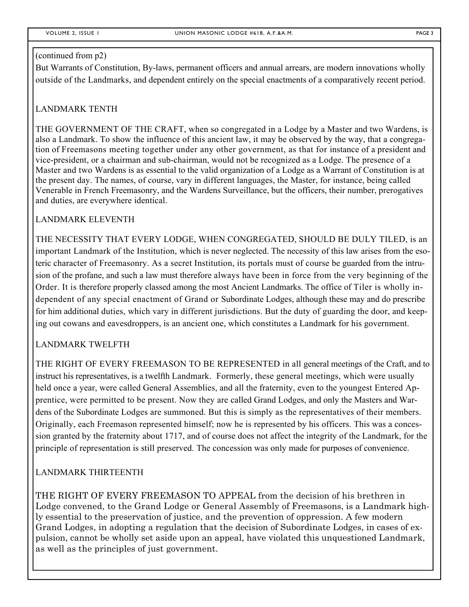#### (continued from p2)

But Warrants of Constitution, By-laws, permanent officers and annual arrears, are modern innovations wholly outside of the Landmarks, and dependent entirely on the special enactments of a comparatively recent period.

#### LANDMARK TENTH

THE GOVERNMENT OF THE CRAFT, when so congregated in a Lodge by a Master and two Wardens, is also a Landmark. To show the influence of this ancient law, it may be observed by the way, that a congregation of Freemasons meeting together under any other government, as that for instance of a president and vice-president, or a chairman and sub-chairman, would not be recognized as a Lodge. The presence of a Master and two Wardens is as essential to the valid organization of a Lodge as a Warrant of Constitution is at the present day. The names, of course, vary in different languages, the Master, for instance, being called Venerable in French Freemasonry, and the Wardens Surveillance, but the officers, their number, prerogatives and duties, are everywhere identical.

#### LANDMARK ELEVENTH

THE NECESSITY THAT EVERY LODGE, WHEN CONGREGATED, SHOULD BE DULY TILED, is an important Landmark of the Institution, which is never neglected. The necessity of this law arises from the esoteric character of Freemasonry. As a secret Institution, its portals must of course be guarded from the intrusion of the profane, and such a law must therefore always have been in force from the very beginning of the Order. It is therefore properly classed among the most Ancient Landmarks. The office of Tiler is wholly independent of any special enactment of Grand or Subordinate Lodges, although these may and do prescribe for him additional duties, which vary in different jurisdictions. But the duty of guarding the door, and keeping out cowans and eavesdroppers, is an ancient one, which constitutes a Landmark for his government.

#### LANDMARK TWELFTH

THE RIGHT OF EVERY FREEMASON TO BE REPRESENTED in all general meetings of the Craft, and to instruct his representatives, is a twelfth Landmark. Formerly, these general meetings, which were usually held once a year, were called General Assemblies, and all the fraternity, even to the youngest Entered Apprentice, were permitted to be present. Now they are called Grand Lodges, and only the Masters and Wardens of the Subordinate Lodges are summoned. But this is simply as the representatives of their members. Originally, each Freemason represented himself; now he is represented by his officers. This was a concession granted by the fraternity about 1717, and of course does not affect the integrity of the Landmark, for the principle of representation is still preserved. The concession was only made for purposes of convenience.

#### LANDMARK THIRTEENTH

THE RIGHT OF EVERY FREEMASON TO APPEAL from the decision of his brethren in Lodge convened, to the Grand Lodge or General Assembly of Freemasons, is a Landmark highly essential to the preservation of justice, and the prevention of oppression. A few modern Grand Lodges, in adopting a regulation that the decision of Subordinate Lodges, in cases of expulsion, cannot be wholly set aside upon an appeal, have violated this unquestioned Landmark, as well as the principles of just government.